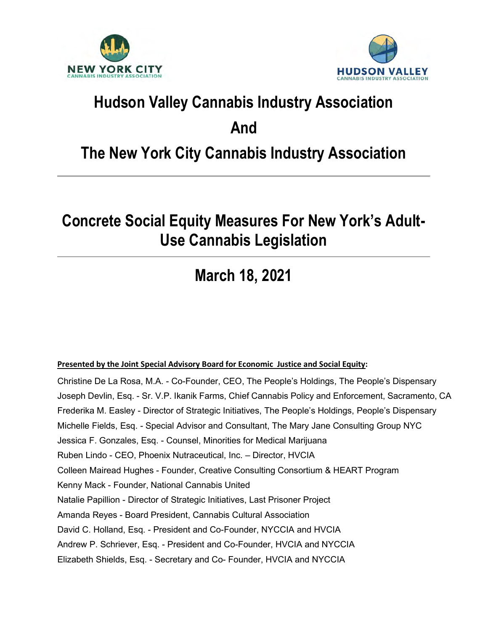



# Hudson Valley Cannabis Industry Association

### And

## The New York City Cannabis Industry Association

## Concrete Social Equity Measures For New York's Adult-Use Cannabis Legislation

# March 18, 2021

#### Presented by the Joint Special Advisory Board for Economic Justice and Social Equity:

Christine De La Rosa, M.A. - Co-Founder, CEO, The People's Holdings, The People's Dispensary Joseph Devlin, Esq. - Sr. V.P. Ikanik Farms, Chief Cannabis Policy and Enforcement, Sacramento, CA Frederika M. Easley - Director of Strategic Initiatives, The People's Holdings, People's Dispensary Michelle Fields, Esq. - Special Advisor and Consultant, The Mary Jane Consulting Group NYC Jessica F. Gonzales, Esq. - Counsel, Minorities for Medical Marijuana Ruben Lindo - CEO, Phoenix Nutraceutical, Inc. – Director, HVCIA Colleen Mairead Hughes - Founder, Creative Consulting Consortium & HEART Program Kenny Mack - Founder, National Cannabis United Natalie Papillion - Director of Strategic Initiatives, Last Prisoner Project Amanda Reyes - Board President, Cannabis Cultural Association David C. Holland, Esq. - President and Co-Founder, NYCCIA and HVCIA Andrew P. Schriever, Esq. - President and Co-Founder, HVCIA and NYCCIA Elizabeth Shields, Esq. - Secretary and Co- Founder, HVCIA and NYCCIA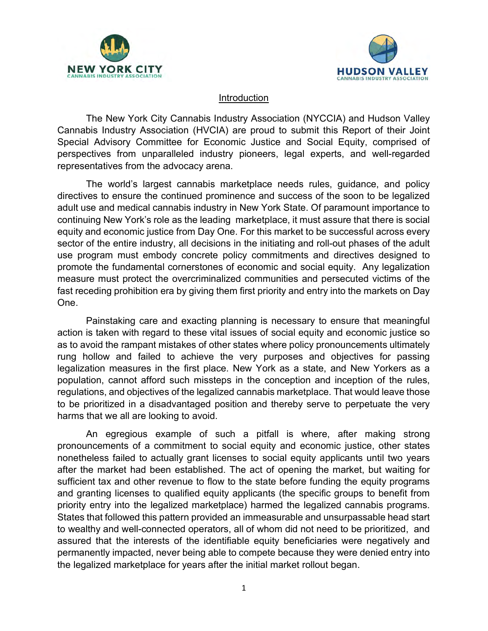



#### Introduction

The New York City Cannabis Industry Association (NYCCIA) and Hudson Valley Cannabis Industry Association (HVCIA) are proud to submit this Report of their Joint Special Advisory Committee for Economic Justice and Social Equity, comprised of perspectives from unparalleled industry pioneers, legal experts, and well-regarded representatives from the advocacy arena.

The world's largest cannabis marketplace needs rules, guidance, and policy directives to ensure the continued prominence and success of the soon to be legalized adult use and medical cannabis industry in New York State. Of paramount importance to continuing New York's role as the leading marketplace, it must assure that there is social equity and economic justice from Day One. For this market to be successful across every sector of the entire industry, all decisions in the initiating and roll-out phases of the adult use program must embody concrete policy commitments and directives designed to promote the fundamental cornerstones of economic and social equity. Any legalization measure must protect the overcriminalized communities and persecuted victims of the fast receding prohibition era by giving them first priority and entry into the markets on Day One.

Painstaking care and exacting planning is necessary to ensure that meaningful action is taken with regard to these vital issues of social equity and economic justice so as to avoid the rampant mistakes of other states where policy pronouncements ultimately rung hollow and failed to achieve the very purposes and objectives for passing legalization measures in the first place. New York as a state, and New Yorkers as a population, cannot afford such missteps in the conception and inception of the rules, regulations, and objectives of the legalized cannabis marketplace. That would leave those to be prioritized in a disadvantaged position and thereby serve to perpetuate the very harms that we all are looking to avoid.

An egregious example of such a pitfall is where, after making strong pronouncements of a commitment to social equity and economic justice, other states nonetheless failed to actually grant licenses to social equity applicants until two years after the market had been established. The act of opening the market, but waiting for sufficient tax and other revenue to flow to the state before funding the equity programs and granting licenses to qualified equity applicants (the specific groups to benefit from priority entry into the legalized marketplace) harmed the legalized cannabis programs. States that followed this pattern provided an immeasurable and unsurpassable head start to wealthy and well-connected operators, all of whom did not need to be prioritized, and assured that the interests of the identifiable equity beneficiaries were negatively and permanently impacted, never being able to compete because they were denied entry into the legalized marketplace for years after the initial market rollout began.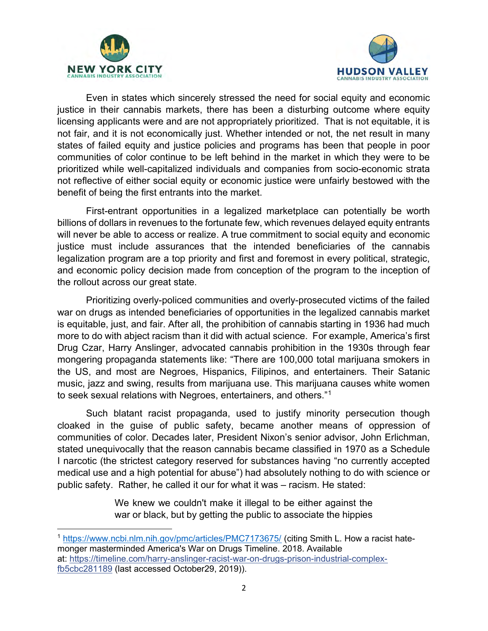



Even in states which sincerely stressed the need for social equity and economic justice in their cannabis markets, there has been a disturbing outcome where equity licensing applicants were and are not appropriately prioritized. That is not equitable, it is not fair, and it is not economically just. Whether intended or not, the net result in many states of failed equity and justice policies and programs has been that people in poor communities of color continue to be left behind in the market in which they were to be prioritized while well-capitalized individuals and companies from socio-economic strata not reflective of either social equity or economic justice were unfairly bestowed with the benefit of being the first entrants into the market.

First-entrant opportunities in a legalized marketplace can potentially be worth billions of dollars in revenues to the fortunate few, which revenues delayed equity entrants will never be able to access or realize. A true commitment to social equity and economic justice must include assurances that the intended beneficiaries of the cannabis legalization program are a top priority and first and foremost in every political, strategic, and economic policy decision made from conception of the program to the inception of the rollout across our great state.

Prioritizing overly-policed communities and overly-prosecuted victims of the failed war on drugs as intended beneficiaries of opportunities in the legalized cannabis market is equitable, just, and fair. After all, the prohibition of cannabis starting in 1936 had much more to do with abject racism than it did with actual science. For example, America's first Drug Czar, Harry Anslinger, advocated cannabis prohibition in the 1930s through fear mongering propaganda statements like: "There are 100,000 total marijuana smokers in the US, and most are Negroes, Hispanics, Filipinos, and entertainers. Their Satanic music, jazz and swing, results from marijuana use. This marijuana causes white women to seek sexual relations with Negroes, entertainers, and others."<sup>1</sup>

Such blatant racist propaganda, used to justify minority persecution though cloaked in the guise of public safety, became another means of oppression of communities of color. Decades later, President Nixon's senior advisor, John Erlichman, stated unequivocally that the reason cannabis became classified in 1970 as a Schedule I narcotic (the strictest category reserved for substances having "no currently accepted medical use and a high potential for abuse") had absolutely nothing to do with science or public safety. Rather, he called it our for what it was – racism. He stated:

> We knew we couldn't make it illegal to be either against the war or black, but by getting the public to associate the hippies

<sup>1</sup> https://www.ncbi.nlm.nih.gov/pmc/articles/PMC7173675/ (citing Smith L. How a racist hatemonger masterminded America's War on Drugs Timeline. 2018. Available at: https://timeline.com/harry-anslinger-racist-war-on-drugs-prison-industrial-complexfb5cbc281189 (last accessed October29, 2019)).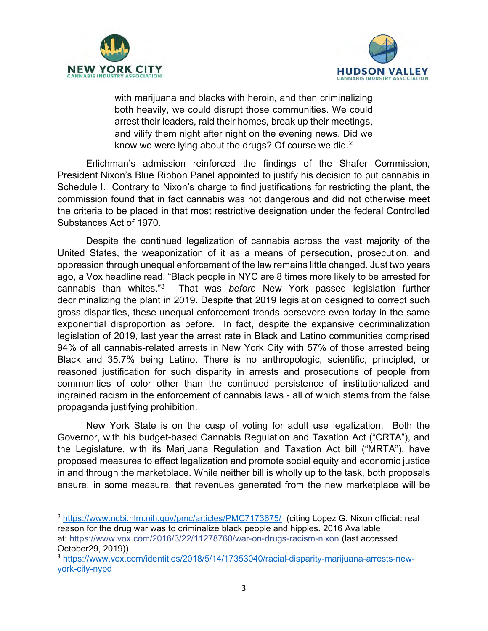



with marijuana and blacks with heroin, and then criminalizing both heavily, we could disrupt those communities. We could arrest their leaders, raid their homes, break up their meetings, and vilify them night after night on the evening news. Did we know we were lying about the drugs? Of course we did. $2$ 

Erlichman's admission reinforced the findings of the Shafer Commission, President Nixon's Blue Ribbon Panel appointed to justify his decision to put cannabis in Schedule I. Contrary to Nixon's charge to find justifications for restricting the plant, the commission found that in fact cannabis was not dangerous and did not otherwise meet the criteria to be placed in that most restrictive designation under the federal Controlled Substances Act of 1970.

Despite the continued legalization of cannabis across the vast majority of the United States, the weaponization of it as a means of persecution, prosecution, and oppression through unequal enforcement of the law remains little changed. Just two years ago, a Vox headline read, "Black people in NYC are 8 times more likely to be arrested for cannabis than whites."<sup>3</sup> That was before New York passed legislation further decriminalizing the plant in 2019. Despite that 2019 legislation designed to correct such gross disparities, these unequal enforcement trends persevere even today in the same exponential disproportion as before. In fact, despite the expansive decriminalization legislation of 2019, last year the arrest rate in Black and Latino communities comprised 94% of all cannabis-related arrests in New York City with 57% of those arrested being Black and 35.7% being Latino. There is no anthropologic, scientific, principled, or reasoned justification for such disparity in arrests and prosecutions of people from communities of color other than the continued persistence of institutionalized and ingrained racism in the enforcement of cannabis laws - all of which stems from the false propaganda justifying prohibition.

New York State is on the cusp of voting for adult use legalization. Both the Governor, with his budget-based Cannabis Regulation and Taxation Act ("CRTA"), and the Legislature, with its Marijuana Regulation and Taxation Act bill ("MRTA"), have proposed measures to effect legalization and promote social equity and economic justice in and through the marketplace. While neither bill is wholly up to the task, both proposals ensure, in some measure, that revenues generated from the new marketplace will be

<sup>&</sup>lt;sup>2</sup> https://www.ncbi.nlm.nih.gov/pmc/articles/PMC7173675/ (citing Lopez G. Nixon official: real reason for the drug war was to criminalize black people and hippies. 2016 Available at: https://www.vox.com/2016/3/22/11278760/war-on-drugs-racism-nixon (last accessed October29, 2019)).

<sup>3</sup> https://www.vox.com/identities/2018/5/14/17353040/racial-disparity-marijuana-arrests-newyork-city-nypd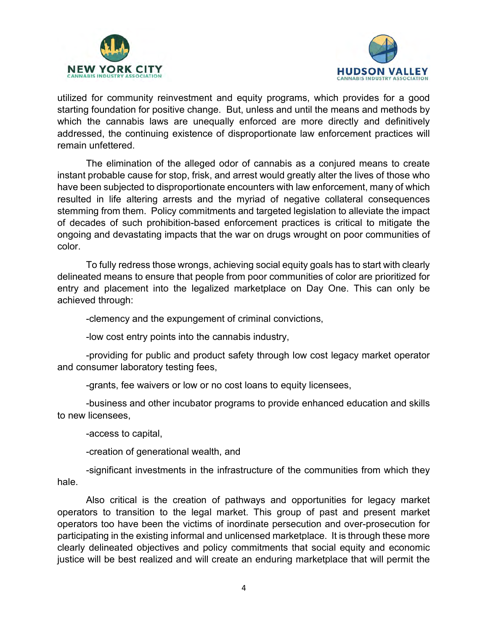



utilized for community reinvestment and equity programs, which provides for a good starting foundation for positive change. But, unless and until the means and methods by which the cannabis laws are unequally enforced are more directly and definitively addressed, the continuing existence of disproportionate law enforcement practices will remain unfettered.

The elimination of the alleged odor of cannabis as a conjured means to create instant probable cause for stop, frisk, and arrest would greatly alter the lives of those who have been subjected to disproportionate encounters with law enforcement, many of which resulted in life altering arrests and the myriad of negative collateral consequences stemming from them. Policy commitments and targeted legislation to alleviate the impact of decades of such prohibition-based enforcement practices is critical to mitigate the ongoing and devastating impacts that the war on drugs wrought on poor communities of color.

To fully redress those wrongs, achieving social equity goals has to start with clearly delineated means to ensure that people from poor communities of color are prioritized for entry and placement into the legalized marketplace on Day One. This can only be achieved through:

-clemency and the expungement of criminal convictions,

-low cost entry points into the cannabis industry,

-providing for public and product safety through low cost legacy market operator and consumer laboratory testing fees,

-grants, fee waivers or low or no cost loans to equity licensees,

-business and other incubator programs to provide enhanced education and skills to new licensees,

-access to capital,

-creation of generational wealth, and

-significant investments in the infrastructure of the communities from which they hale.

Also critical is the creation of pathways and opportunities for legacy market operators to transition to the legal market. This group of past and present market operators too have been the victims of inordinate persecution and over-prosecution for participating in the existing informal and unlicensed marketplace. It is through these more clearly delineated objectives and policy commitments that social equity and economic justice will be best realized and will create an enduring marketplace that will permit the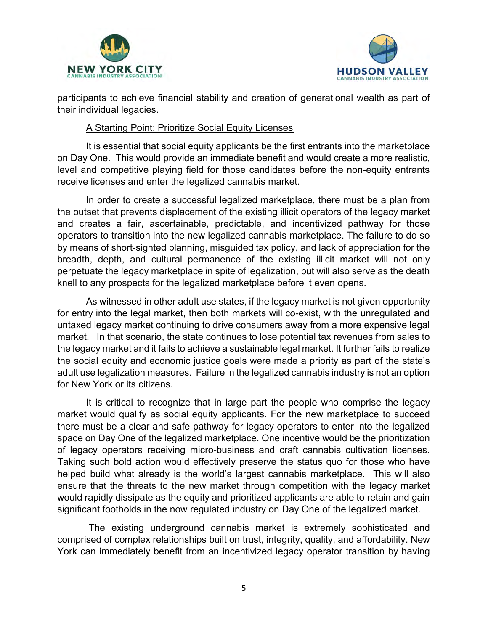



participants to achieve financial stability and creation of generational wealth as part of their individual legacies.

#### A Starting Point: Prioritize Social Equity Licenses

It is essential that social equity applicants be the first entrants into the marketplace on Day One. This would provide an immediate benefit and would create a more realistic, level and competitive playing field for those candidates before the non-equity entrants receive licenses and enter the legalized cannabis market.

In order to create a successful legalized marketplace, there must be a plan from the outset that prevents displacement of the existing illicit operators of the legacy market and creates a fair, ascertainable, predictable, and incentivized pathway for those operators to transition into the new legalized cannabis marketplace. The failure to do so by means of short-sighted planning, misguided tax policy, and lack of appreciation for the breadth, depth, and cultural permanence of the existing illicit market will not only perpetuate the legacy marketplace in spite of legalization, but will also serve as the death knell to any prospects for the legalized marketplace before it even opens.

As witnessed in other adult use states, if the legacy market is not given opportunity for entry into the legal market, then both markets will co-exist, with the unregulated and untaxed legacy market continuing to drive consumers away from a more expensive legal market. In that scenario, the state continues to lose potential tax revenues from sales to the legacy market and it fails to achieve a sustainable legal market. It further fails to realize the social equity and economic justice goals were made a priority as part of the state's adult use legalization measures. Failure in the legalized cannabis industry is not an option for New York or its citizens.

It is critical to recognize that in large part the people who comprise the legacy market would qualify as social equity applicants. For the new marketplace to succeed there must be a clear and safe pathway for legacy operators to enter into the legalized space on Day One of the legalized marketplace. One incentive would be the prioritization of legacy operators receiving micro-business and craft cannabis cultivation licenses. Taking such bold action would effectively preserve the status quo for those who have helped build what already is the world's largest cannabis marketplace. This will also ensure that the threats to the new market through competition with the legacy market would rapidly dissipate as the equity and prioritized applicants are able to retain and gain significant footholds in the now regulated industry on Day One of the legalized market.

 The existing underground cannabis market is extremely sophisticated and comprised of complex relationships built on trust, integrity, quality, and affordability. New York can immediately benefit from an incentivized legacy operator transition by having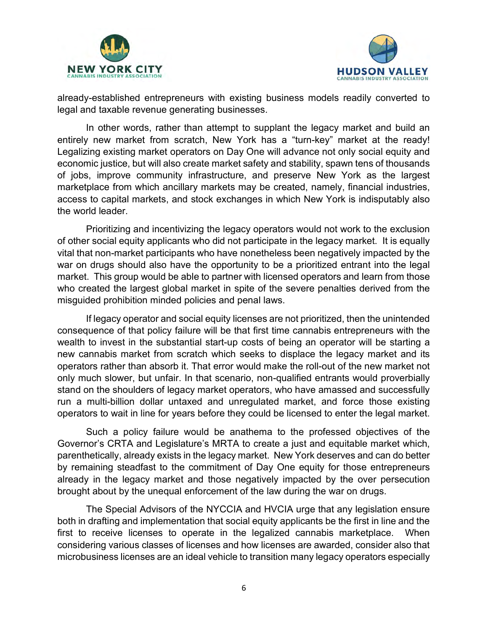



already-established entrepreneurs with existing business models readily converted to legal and taxable revenue generating businesses.

In other words, rather than attempt to supplant the legacy market and build an entirely new market from scratch, New York has a "turn-key" market at the ready! Legalizing existing market operators on Day One will advance not only social equity and economic justice, but will also create market safety and stability, spawn tens of thousands of jobs, improve community infrastructure, and preserve New York as the largest marketplace from which ancillary markets may be created, namely, financial industries, access to capital markets, and stock exchanges in which New York is indisputably also the world leader.

Prioritizing and incentivizing the legacy operators would not work to the exclusion of other social equity applicants who did not participate in the legacy market. It is equally vital that non-market participants who have nonetheless been negatively impacted by the war on drugs should also have the opportunity to be a prioritized entrant into the legal market. This group would be able to partner with licensed operators and learn from those who created the largest global market in spite of the severe penalties derived from the misguided prohibition minded policies and penal laws.

If legacy operator and social equity licenses are not prioritized, then the unintended consequence of that policy failure will be that first time cannabis entrepreneurs with the wealth to invest in the substantial start-up costs of being an operator will be starting a new cannabis market from scratch which seeks to displace the legacy market and its operators rather than absorb it. That error would make the roll-out of the new market not only much slower, but unfair. In that scenario, non-qualified entrants would proverbially stand on the shoulders of legacy market operators, who have amassed and successfully run a multi-billion dollar untaxed and unregulated market, and force those existing operators to wait in line for years before they could be licensed to enter the legal market.

Such a policy failure would be anathema to the professed objectives of the Governor's CRTA and Legislature's MRTA to create a just and equitable market which, parenthetically, already exists in the legacy market. New York deserves and can do better by remaining steadfast to the commitment of Day One equity for those entrepreneurs already in the legacy market and those negatively impacted by the over persecution brought about by the unequal enforcement of the law during the war on drugs.

The Special Advisors of the NYCCIA and HVCIA urge that any legislation ensure both in drafting and implementation that social equity applicants be the first in line and the first to receive licenses to operate in the legalized cannabis marketplace. When considering various classes of licenses and how licenses are awarded, consider also that microbusiness licenses are an ideal vehicle to transition many legacy operators especially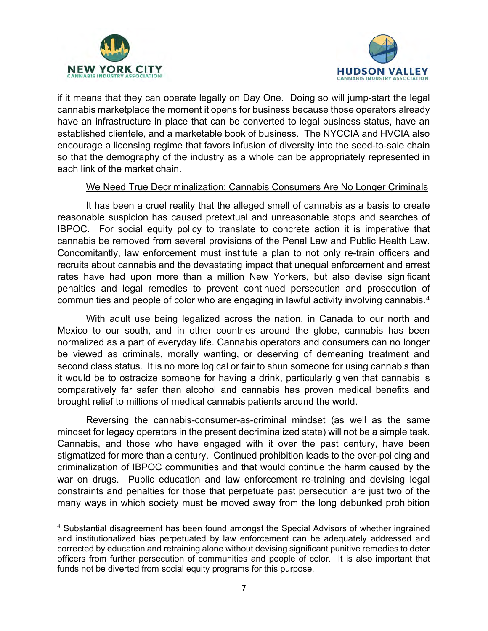



if it means that they can operate legally on Day One. Doing so will jump-start the legal cannabis marketplace the moment it opens for business because those operators already have an infrastructure in place that can be converted to legal business status, have an established clientele, and a marketable book of business. The NYCCIA and HVCIA also encourage a licensing regime that favors infusion of diversity into the seed-to-sale chain so that the demography of the industry as a whole can be appropriately represented in each link of the market chain.

#### We Need True Decriminalization: Cannabis Consumers Are No Longer Criminals

It has been a cruel reality that the alleged smell of cannabis as a basis to create reasonable suspicion has caused pretextual and unreasonable stops and searches of IBPOC. For social equity policy to translate to concrete action it is imperative that cannabis be removed from several provisions of the Penal Law and Public Health Law. Concomitantly, law enforcement must institute a plan to not only re-train officers and recruits about cannabis and the devastating impact that unequal enforcement and arrest rates have had upon more than a million New Yorkers, but also devise significant penalties and legal remedies to prevent continued persecution and prosecution of communities and people of color who are engaging in lawful activity involving cannabis. $4$ 

With adult use being legalized across the nation, in Canada to our north and Mexico to our south, and in other countries around the globe, cannabis has been normalized as a part of everyday life. Cannabis operators and consumers can no longer be viewed as criminals, morally wanting, or deserving of demeaning treatment and second class status. It is no more logical or fair to shun someone for using cannabis than it would be to ostracize someone for having a drink, particularly given that cannabis is comparatively far safer than alcohol and cannabis has proven medical benefits and brought relief to millions of medical cannabis patients around the world.

Reversing the cannabis-consumer-as-criminal mindset (as well as the same mindset for legacy operators in the present decriminalized state) will not be a simple task. Cannabis, and those who have engaged with it over the past century, have been stigmatized for more than a century. Continued prohibition leads to the over-policing and criminalization of IBPOC communities and that would continue the harm caused by the war on drugs. Public education and law enforcement re-training and devising legal constraints and penalties for those that perpetuate past persecution are just two of the many ways in which society must be moved away from the long debunked prohibition

<sup>&</sup>lt;sup>4</sup> Substantial disagreement has been found amongst the Special Advisors of whether ingrained and institutionalized bias perpetuated by law enforcement can be adequately addressed and corrected by education and retraining alone without devising significant punitive remedies to deter officers from further persecution of communities and people of color. It is also important that funds not be diverted from social equity programs for this purpose.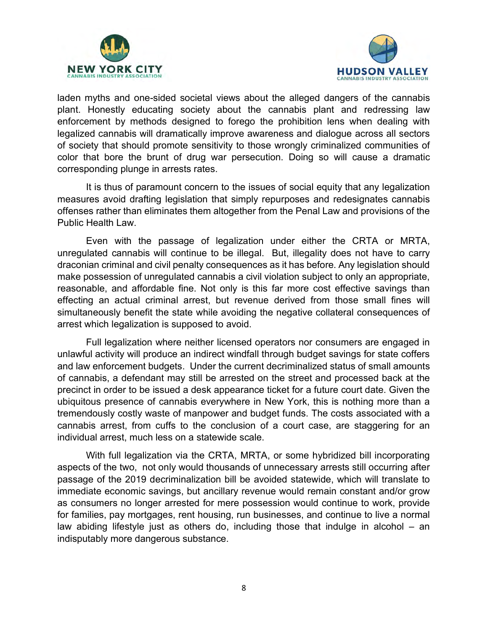



laden myths and one-sided societal views about the alleged dangers of the cannabis plant. Honestly educating society about the cannabis plant and redressing law enforcement by methods designed to forego the prohibition lens when dealing with legalized cannabis will dramatically improve awareness and dialogue across all sectors of society that should promote sensitivity to those wrongly criminalized communities of color that bore the brunt of drug war persecution. Doing so will cause a dramatic corresponding plunge in arrests rates.

It is thus of paramount concern to the issues of social equity that any legalization measures avoid drafting legislation that simply repurposes and redesignates cannabis offenses rather than eliminates them altogether from the Penal Law and provisions of the Public Health Law.

Even with the passage of legalization under either the CRTA or MRTA, unregulated cannabis will continue to be illegal. But, illegality does not have to carry draconian criminal and civil penalty consequences as it has before. Any legislation should make possession of unregulated cannabis a civil violation subject to only an appropriate, reasonable, and affordable fine. Not only is this far more cost effective savings than effecting an actual criminal arrest, but revenue derived from those small fines will simultaneously benefit the state while avoiding the negative collateral consequences of arrest which legalization is supposed to avoid.

Full legalization where neither licensed operators nor consumers are engaged in unlawful activity will produce an indirect windfall through budget savings for state coffers and law enforcement budgets. Under the current decriminalized status of small amounts of cannabis, a defendant may still be arrested on the street and processed back at the precinct in order to be issued a desk appearance ticket for a future court date. Given the ubiquitous presence of cannabis everywhere in New York, this is nothing more than a tremendously costly waste of manpower and budget funds. The costs associated with a cannabis arrest, from cuffs to the conclusion of a court case, are staggering for an individual arrest, much less on a statewide scale.

With full legalization via the CRTA, MRTA, or some hybridized bill incorporating aspects of the two, not only would thousands of unnecessary arrests still occurring after passage of the 2019 decriminalization bill be avoided statewide, which will translate to immediate economic savings, but ancillary revenue would remain constant and/or grow as consumers no longer arrested for mere possession would continue to work, provide for families, pay mortgages, rent housing, run businesses, and continue to live a normal law abiding lifestyle just as others do, including those that indulge in alcohol – an indisputably more dangerous substance.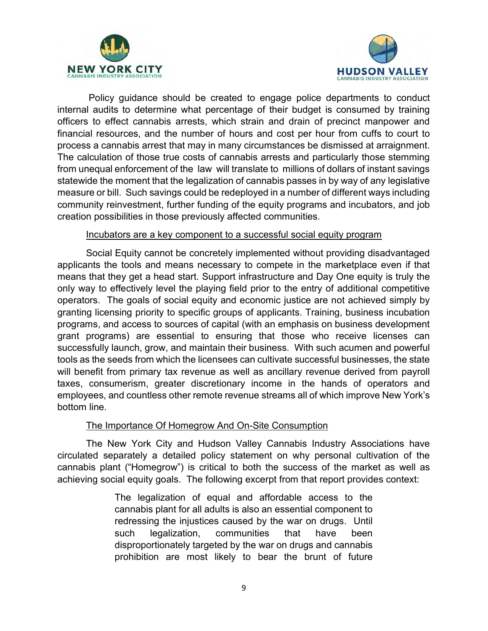



 Policy guidance should be created to engage police departments to conduct internal audits to determine what percentage of their budget is consumed by training officers to effect cannabis arrests, which strain and drain of precinct manpower and financial resources, and the number of hours and cost per hour from cuffs to court to process a cannabis arrest that may in many circumstances be dismissed at arraignment. The calculation of those true costs of cannabis arrests and particularly those stemming from unequal enforcement of the law will translate to millions of dollars of instant savings statewide the moment that the legalization of cannabis passes in by way of any legislative measure or bill. Such savings could be redeployed in a number of different ways including community reinvestment, further funding of the equity programs and incubators, and job creation possibilities in those previously affected communities.

#### Incubators are a key component to a successful social equity program

Social Equity cannot be concretely implemented without providing disadvantaged applicants the tools and means necessary to compete in the marketplace even if that means that they get a head start. Support infrastructure and Day One equity is truly the only way to effectively level the playing field prior to the entry of additional competitive operators. The goals of social equity and economic justice are not achieved simply by granting licensing priority to specific groups of applicants. Training, business incubation programs, and access to sources of capital (with an emphasis on business development grant programs) are essential to ensuring that those who receive licenses can successfully launch, grow, and maintain their business. With such acumen and powerful tools as the seeds from which the licensees can cultivate successful businesses, the state will benefit from primary tax revenue as well as ancillary revenue derived from payroll taxes, consumerism, greater discretionary income in the hands of operators and employees, and countless other remote revenue streams all of which improve New York's bottom line.

#### The Importance Of Homegrow And On-Site Consumption

The New York City and Hudson Valley Cannabis Industry Associations have circulated separately a detailed policy statement on why personal cultivation of the cannabis plant ("Homegrow") is critical to both the success of the market as well as achieving social equity goals. The following excerpt from that report provides context:

> The legalization of equal and affordable access to the cannabis plant for all adults is also an essential component to redressing the injustices caused by the war on drugs. Until such legalization, communities that have been disproportionately targeted by the war on drugs and cannabis prohibition are most likely to bear the brunt of future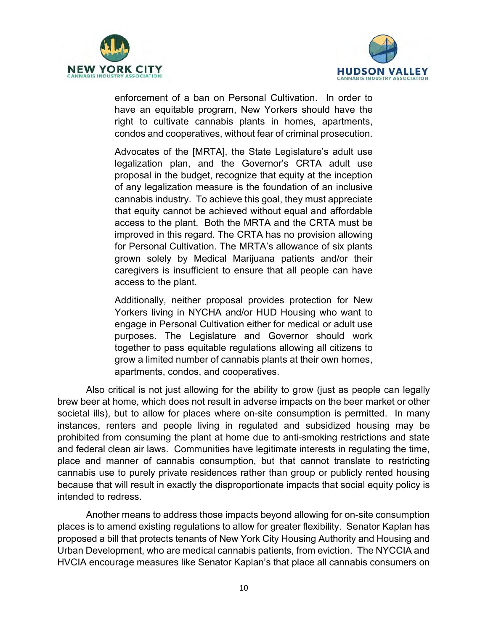



enforcement of a ban on Personal Cultivation. In order to have an equitable program, New Yorkers should have the right to cultivate cannabis plants in homes, apartments, condos and cooperatives, without fear of criminal prosecution.

Advocates of the [MRTA], the State Legislature's adult use legalization plan, and the Governor's CRTA adult use proposal in the budget, recognize that equity at the inception of any legalization measure is the foundation of an inclusive cannabis industry. To achieve this goal, they must appreciate that equity cannot be achieved without equal and affordable access to the plant. Both the MRTA and the CRTA must be improved in this regard. The CRTA has no provision allowing for Personal Cultivation. The MRTA's allowance of six plants grown solely by Medical Marijuana patients and/or their caregivers is insufficient to ensure that all people can have access to the plant.

Additionally, neither proposal provides protection for New Yorkers living in NYCHA and/or HUD Housing who want to engage in Personal Cultivation either for medical or adult use purposes. The Legislature and Governor should work together to pass equitable regulations allowing all citizens to grow a limited number of cannabis plants at their own homes, apartments, condos, and cooperatives.

Also critical is not just allowing for the ability to grow (just as people can legally brew beer at home, which does not result in adverse impacts on the beer market or other societal ills), but to allow for places where on-site consumption is permitted. In many instances, renters and people living in regulated and subsidized housing may be prohibited from consuming the plant at home due to anti-smoking restrictions and state and federal clean air laws. Communities have legitimate interests in regulating the time, place and manner of cannabis consumption, but that cannot translate to restricting cannabis use to purely private residences rather than group or publicly rented housing because that will result in exactly the disproportionate impacts that social equity policy is intended to redress.

Another means to address those impacts beyond allowing for on-site consumption places is to amend existing regulations to allow for greater flexibility. Senator Kaplan has proposed a bill that protects tenants of New York City Housing Authority and Housing and Urban Development, who are medical cannabis patients, from eviction. The NYCCIA and HVCIA encourage measures like Senator Kaplan's that place all cannabis consumers on